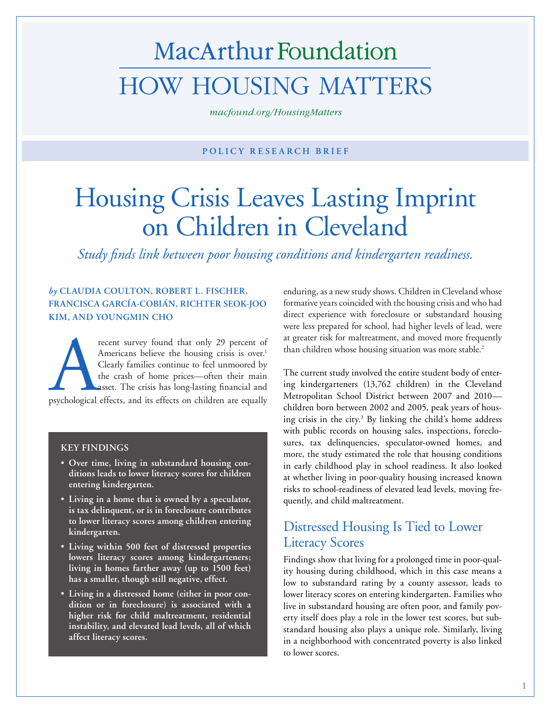# MacArthur Foundation **HOW HOUSING MATTERS**

macfound.org/HousingMatters

#### **POLICY RESEARCH BRIEF**

## Housing Crisis Leaves Lasting Imprint on Children in Cleveland

*Study finds link between poor housing conditions and kindergarten readiness.*

#### *by* **CLAUDIA COULTON, ROBERT L. FISCHER, FRANCISCA GARCÍA-COBIÁN, RICHTER SEOK-JOO KIM, AND YOUNGMIN CHO**

Freent survey found that only 29 percent of Americans believe the housing crisis is over.<sup>1</sup> Clearly families continue to feel unmoored by the crash of home prices—often their main asset. The crisis has long-lasting financ Americans believe the housing crisis is over.<sup>1</sup> Clearly families continue to feel unmoored by the crash of home prices—often their main asset. The crisis has long-lasting financial and

#### **KEY FINDINGS**

- **Over time, living in substandard housing conditions leads to lower literacy scores for children entering kindergarten.**
- **Living in a home that is owned by a speculator, is tax delinquent, or is in foreclosure contributes to lower literacy scores among children entering kindergarten.**
- **Living within 500 feet of distressed properties lowers literacy scores among kindergarteners; living in homes farther away (up to 1500 feet) has a smaller, though still negative, effect.**
- **Living in a distressed home (either in poor condition or in foreclosure) is associated with a higher risk for child maltreatment, residential instability, and elevated lead levels, all of which affect literacy scores.**

enduring, as a new study shows. Children in Cleveland whose formative years coincided with the housing crisis and who had direct experience with foreclosure or substandard housing were less prepared for school, had higher levels of lead, were at greater risk for maltreatment, and moved more frequently than children whose housing situation was more stable.<sup>2</sup>

The current study involved the entire student body of entering kindergarteners (13,762 children) in the Cleveland Metropolitan School District between 2007 and 2010 children born between 2002 and 2005, peak years of housing crisis in the city.<sup>3</sup> By linking the child's home address with public records on housing sales, inspections, foreclosures, tax delinquencies, speculator-owned homes, and more, the study estimated the role that housing conditions in early childhood play in school readiness. It also looked at whether living in poor-quality housing increased known risks to school-readiness of elevated lead levels, moving frequently, and child maltreatment.

## Distressed Housing Is Tied to Lower Literacy Scores

Findings show that living for a prolonged time in poor-quality housing during childhood, which in this case means a low to substandard rating by a county assessor, leads to lower literacy scores on entering kindergarten. Families who live in substandard housing are often poor, and family poverty itself does play a role in the lower test scores, but substandard housing also plays a unique role. Similarly, living in a neighborhood with concentrated poverty is also linked to lower scores.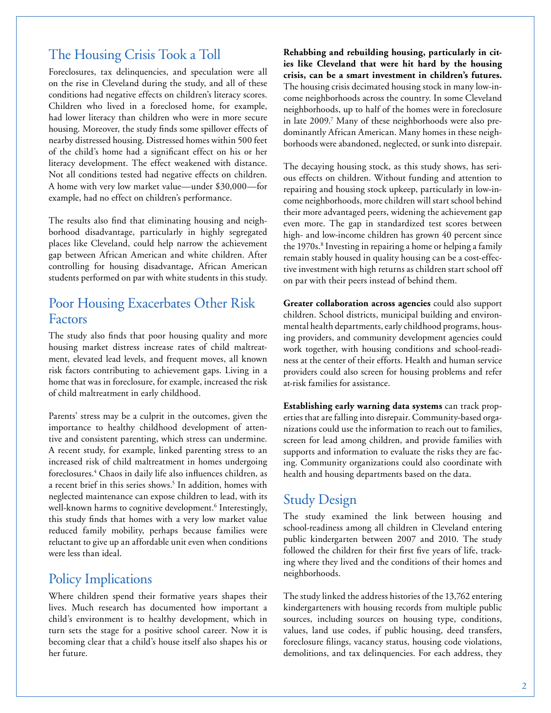### The Housing Crisis Took a Toll

Foreclosures, tax delinquencies, and speculation were all on the rise in Cleveland during the study, and all of these conditions had negative effects on children's literacy scores. Children who lived in a foreclosed home, for example, had lower literacy than children who were in more secure housing. Moreover, the study finds some spillover effects of nearby distressed housing. Distressed homes within 500 feet of the child's home had a significant effect on his or her literacy development. The effect weakened with distance. Not all conditions tested had negative effects on children. A home with very low market value—under \$30,000—for example, had no effect on children's performance.

The results also find that eliminating housing and neighborhood disadvantage, particularly in highly segregated places like Cleveland, could help narrow the achievement gap between African American and white children. After controlling for housing disadvantage, African American students performed on par with white students in this study.

#### Poor Housing Exacerbates Other Risk Factors

The study also finds that poor housing quality and more housing market distress increase rates of child maltreatment, elevated lead levels, and frequent moves, all known risk factors contributing to achievement gaps. Living in a home that was in foreclosure, for example, increased the risk of child maltreatment in early childhood.

Parents' stress may be a culprit in the outcomes, given the importance to healthy childhood development of attentive and consistent parenting, which stress can undermine. A recent study, for example, linked parenting stress to an increased risk of child maltreatment in homes undergoing foreclosures.4 Chaos in daily life also influences children, as a recent brief in this series shows.<sup>5</sup> In addition, homes with neglected maintenance can expose children to lead, with its well-known harms to cognitive development.<sup>6</sup> Interestingly, this study finds that homes with a very low market value reduced family mobility, perhaps because families were reluctant to give up an affordable unit even when conditions were less than ideal.

## Policy Implications

Where children spend their formative years shapes their lives. Much research has documented how important a child's environment is to healthy development, which in turn sets the stage for a positive school career. Now it is becoming clear that a child's house itself also shapes his or her future.

**Rehabbing and rebuilding housing, particularly in cities like Cleveland that were hit hard by the housing crisis, can be a smart investment in children's futures.** The housing crisis decimated housing stock in many low-income neighborhoods across the country. In some Cleveland neighborhoods, up to half of the homes were in foreclosure in late 2009.7 Many of these neighborhoods were also predominantly African American. Many homes in these neighborhoods were abandoned, neglected, or sunk into disrepair.

The decaying housing stock, as this study shows, has serious effects on children. Without funding and attention to repairing and housing stock upkeep, particularly in low-income neighborhoods, more children will start school behind their more advantaged peers, widening the achievement gap even more. The gap in standardized test scores between high- and low-income children has grown 40 percent since the 1970s.<sup>8</sup> Investing in repairing a home or helping a family remain stably housed in quality housing can be a cost-effective investment with high returns as children start school off on par with their peers instead of behind them.

**Greater collaboration across agencies** could also support children. School districts, municipal building and environmental health departments, early childhood programs, housing providers, and community development agencies could work together, with housing conditions and school-readiness at the center of their efforts. Health and human service providers could also screen for housing problems and refer at-risk families for assistance.

**Establishing early warning data systems** can track properties that are falling into disrepair. Community-based organizations could use the information to reach out to families, screen for lead among children, and provide families with supports and information to evaluate the risks they are facing. Community organizations could also coordinate with health and housing departments based on the data.

### Study Design

The study examined the link between housing and school-readiness among all children in Cleveland entering public kindergarten between 2007 and 2010. The study followed the children for their first five years of life, tracking where they lived and the conditions of their homes and neighborhoods.

The study linked the address histories of the 13,762 entering kindergarteners with housing records from multiple public sources, including sources on housing type, conditions, values, land use codes, if public housing, deed transfers, foreclosure filings, vacancy status, housing code violations, demolitions, and tax delinquencies. For each address, they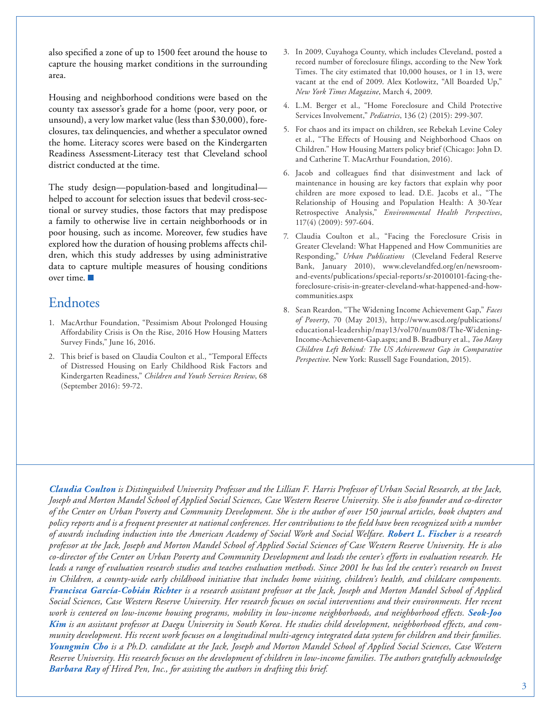also specified a zone of up to 1500 feet around the house to capture the housing market conditions in the surrounding area.

Housing and neighborhood conditions were based on the county tax assessor's grade for a home (poor, very poor, or unsound), a very low market value (less than \$30,000), foreclosures, tax delinquencies, and whether a speculator owned the home. Literacy scores were based on the Kindergarten Readiness Assessment-Literacy test that Cleveland school district conducted at the time.

The study design—population-based and longitudinal helped to account for selection issues that bedevil cross-sectional or survey studies, those factors that may predispose a family to otherwise live in certain neighborhoods or in poor housing, such as income. Moreover, few studies have explored how the duration of housing problems affects children, which this study addresses by using administrative data to capture multiple measures of housing conditions over time.

## Endnotes

- 1. MacArthur Foundation, "Pessimism About Prolonged Housing Affordability Crisis is On the Rise, 2016 How Housing Matters Survey Finds," June 16, 2016.
- 2. This brief is based on Claudia Coulton et al., "Temporal Effects of Distressed Housing on Early Childhood Risk Factors and Kindergarten Readiness," *Children and Youth Services Review*, 68 (September 2016): 59-72.
- 3. In 2009, Cuyahoga County, which includes Cleveland, posted a record number of foreclosure filings, according to the New York Times. The city estimated that 10,000 houses, or 1 in 13, were vacant at the end of 2009. Alex Kotlowitz, "All Boarded Up," *New York Times Magazine*, March 4, 2009.
- 4. L.M. Berger et al., "Home Foreclosure and Child Protective Services Involvement," *Pediatrics*, 136 (2) (2015): 299-307.
- 5. For chaos and its impact on children, see Rebekah Levine Coley et al., "The Effects of Housing and Neighborhood Chaos on Children." How Housing Matters policy brief (Chicago: John D. and Catherine T. MacArthur Foundation, 2016).
- 6. Jacob and colleagues find that disinvestment and lack of maintenance in housing are key factors that explain why poor children are more exposed to lead. D.E. Jacobs et al., "The Relationship of Housing and Population Health: A 30-Year Retrospective Analysis," *Environmental Health Perspectives*, 117(4) (2009): 597-604.
- 7. Claudia Coulton et al., "Facing the Foreclosure Crisis in Greater Cleveland: What Happened and How Communities are Responding," *Urban Publications* (Cleveland Federal Reserve Bank, January 2010), www.clevelandfed.org/en/newsroomand-events/publications/special-reports/sr-20100101-facing-theforeclosure-crisis-in-greater-cleveland-what-happened-and-howcommunities.aspx
- 8. Sean Reardon, "The Widening Income Achievement Gap," *Faces of Poverty*, 70 (May 2013), [http://www.ascd.org/publications/](http://www.ascd.org/publications/educational-leadership/may13/vol70/num08/The-Widening-Income-Achievement-Gap.aspx) [educational-leadership/may13/vol70/num08/The-Widening-](http://www.ascd.org/publications/educational-leadership/may13/vol70/num08/The-Widening-Income-Achievement-Gap.aspx)[Income-Achievement-Gap.aspx;](http://www.ascd.org/publications/educational-leadership/may13/vol70/num08/The-Widening-Income-Achievement-Gap.aspx) and B. Bradbury et al., *Too Many Children Left Behind: The US Achievement Gap in Comparative Perspective*. New York: Russell Sage Foundation, 2015).

*Claudia Coulton is Distinguished University Professor and the Lillian F. Harris Professor of Urban Social Research, at the Jack, Joseph and Morton Mandel School of Applied Social Sciences, Case Western Reserve University. She is also founder and co-director of the Center on Urban Poverty and Community Development. She is the author of over 150 journal articles, book chapters and policy reports and is a frequent presenter at national conferences. Her contributions to the field have been recognized with a number of awards including induction into the American Academy of Social Work and Social Welfare. Robert L. Fischer is a research professor at the Jack, Joseph and Morton Mandel School of Applied Social Sciences of Case Western Reserve University. He is also co-director of the Center on Urban Poverty and Community Development and leads the center's efforts in evaluation research. He leads a range of evaluation research studies and teaches evaluation methods. Since 2001 he has led the center's research on Invest in Children, a county-wide early childhood initiative that includes home visiting, children's health, and childcare components. Francisca García-Cobián Richter is a research assistant professor at the Jack, Joseph and Morton Mandel School of Applied Social Sciences, Case Western Reserve University. Her research focuses on social interventions and their environments. Her recent*  work is centered on low-income housing programs, mobility in low-income neighborhoods, and neighborhood effects. Seok-Joo *Kim is an assistant professor at Daegu University in South Korea. He studies child development, neighborhood effects, and community development. His recent work focuses on a longitudinal multi-agency integrated data system for children and their families. Youngmin Cho is a Ph.D. candidate at the Jack, Joseph and Morton Mandel School of Applied Social Sciences, Case Western Reserve University. His research focuses on the development of children in low-income families. The authors gratefully acknowledge Barbara Ray of Hired Pen, Inc., for assisting the authors in drafting this brief.*